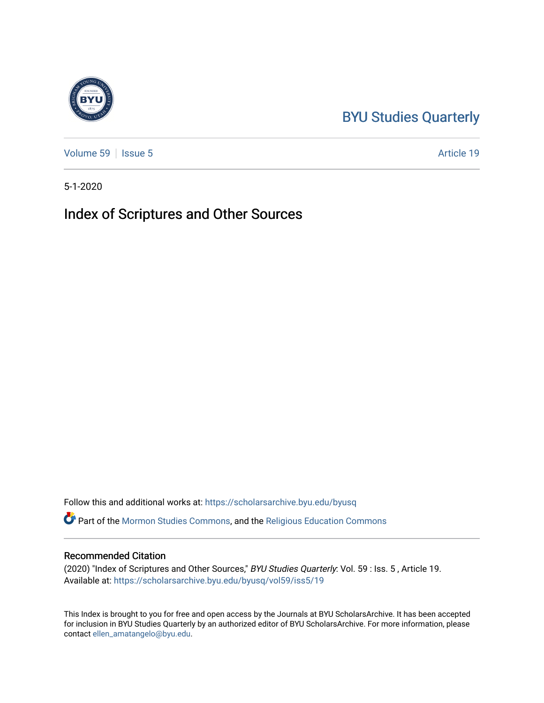# [BYU Studies Quarterly](https://scholarsarchive.byu.edu/byusq)

[Volume 59](https://scholarsarchive.byu.edu/byusq/vol59) | [Issue 5](https://scholarsarchive.byu.edu/byusq/vol59/iss5) Article 19

5-1-2020

### Index of Scriptures and Other Sources

Follow this and additional works at: [https://scholarsarchive.byu.edu/byusq](https://scholarsarchive.byu.edu/byusq?utm_source=scholarsarchive.byu.edu%2Fbyusq%2Fvol59%2Fiss5%2F19&utm_medium=PDF&utm_campaign=PDFCoverPages) 

Part of the [Mormon Studies Commons](http://network.bepress.com/hgg/discipline/1360?utm_source=scholarsarchive.byu.edu%2Fbyusq%2Fvol59%2Fiss5%2F19&utm_medium=PDF&utm_campaign=PDFCoverPages), and the [Religious Education Commons](http://network.bepress.com/hgg/discipline/1414?utm_source=scholarsarchive.byu.edu%2Fbyusq%2Fvol59%2Fiss5%2F19&utm_medium=PDF&utm_campaign=PDFCoverPages) 

### Recommended Citation

(2020) "Index of Scriptures and Other Sources," BYU Studies Quarterly: Vol. 59 : Iss. 5 , Article 19. Available at: [https://scholarsarchive.byu.edu/byusq/vol59/iss5/19](https://scholarsarchive.byu.edu/byusq/vol59/iss5/19?utm_source=scholarsarchive.byu.edu%2Fbyusq%2Fvol59%2Fiss5%2F19&utm_medium=PDF&utm_campaign=PDFCoverPages) 

This Index is brought to you for free and open access by the Journals at BYU ScholarsArchive. It has been accepted for inclusion in BYU Studies Quarterly by an authorized editor of BYU ScholarsArchive. For more information, please contact [ellen\\_amatangelo@byu.edu.](mailto:ellen_amatangelo@byu.edu)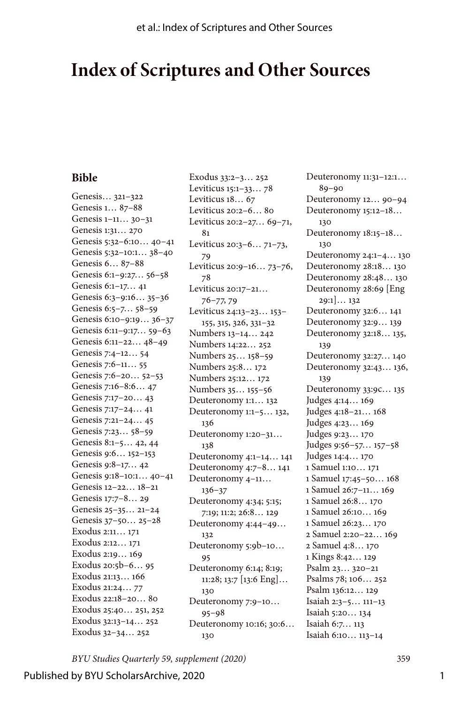## **Index of Scriptures and Other Sources**

#### **Bible**

Genesis… 321–322 Genesis 1… 87–88 Genesis 1–11… 30–31 Genesis 1:31… 270 Genesis 5:32–6:10… 40–41 Genesis 5:32–10:1… 38–40 Genesis 6… 87–88 Genesis 6:1–9:27… 56–58 Genesis 6:1–17… 41 Genesis 6:3–9:16… 35–36 Genesis 6:5–7… 58–59 Genesis 6:10–9:19… 36–37 Genesis 6:11–9:17… 59–63 Genesis 6:11–22… 48–49 Genesis 7:4–12… 54 Genesis 7:6–11… 55 Genesis 7:6–20… 52–53 Genesis 7:16–8:6… 47 Genesis 7:17–20… 43 Genesis 7:17–24… 41 Genesis 7:21–24… 45 Genesis 7:23… 58–59 Genesis 8:1–5… 42, 44 Genesis 9:6… 152–153 Genesis 9:8–17… 42 Genesis 9:18–10:1… 40–41 Genesis 12–22… 18–21 Genesis 17:7–8… 29 Genesis 25–35… 21–24 Genesis 37–50… 25–28 Exodus 2:11… 171 Exodus 2:12… 171 Exodus 2:19… 169 Exodus 20:5b–6… 95 Exodus 21:13… 166 Exodus 21:24… 77 Exodus 22:18–20… 80 Exodus 25:40… 251, 252 Exodus 32:13–14… 252 Exodus 32–34… 252

Exodus 33:2–3… 252 Leviticus 15:1–33… 78 Leviticus 18… 67 Leviticus 20:2–6… 80 Leviticus 20:2–27… 69–71, 81 Leviticus 20:3–6… 71–73, 79 Leviticus 20:9–16… 73–76, 78 Leviticus 20:17–21… 76–77, 79 Leviticus 24:13–23… 153– 155, 315, 326, 331–32 Numbers 13–14… 242 Numbers 14:22… 252 Numbers 25… 158–59 Numbers 25:8… 172 Numbers 25:12… 172 Numbers 35… 155–56 Deuteronomy 1:1… 132 Deuteronomy 1:1–5… 132, 136 Deuteronomy 1:20–31… 138 Deuteronomy 4:1–14… 141 Deuteronomy 4:7–8… 141 Deuteronomy 4–11… 136–37 Deuteronomy 4:34; 5:15; 7:19; 11:2; 26:8… 129 Deuteronomy 4:44–49… 132 Deuteronomy 5:9b–10… 95 Deuteronomy 6:14; 8:19; 11:28; 13:7 [13:6 Eng]… 130 Deuteronomy 7:9–10… 95–98 Deuteronomy 10:16; 30:6… 130

Deuteronomy 11:31–12:1… 89–90 Deuteronomy 12… 90–94 Deuteronomy 15:12–18… 130 Deuteronomy 18:15–18… 130 Deuteronomy 24:1–4… 130 Deuteronomy 28:18… 130 Deuteronomy 28:48… 130 Deuteronomy 28:69 [Eng 29:1]… 132 Deuteronomy 32:6… 141 Deuteronomy 32:9… 139 Deuteronomy 32:18… 135, 139 Deuteronomy 32:27… 140 Deuteronomy 32:43… 136, 139 Deuteronomy 33:9c… 135 Judges 4:14… 169 Judges 4:18–21… 168 Judges 4:23… 169 Judges 9:23… 170 Judges 9:56–57… 157–58 Judges 14:4… 170 1 Samuel 1:10… 171 1 Samuel 17:45–50… 168 1 Samuel 26:7–11… 169 1 Samuel 26:8… 170 1 Samuel 26:10… 169 1 Samuel 26:23… 170 2 Samuel 2:20–22… 169 2 Samuel 4:8… 170 1 Kings 8:42… 129 Psalm 23… 320–21 Psalms 78; 106… 252 Psalm 136:12… 129 Isaiah 2:3–5… 111–13 Isaiah 5:20… 134 Isaiah 6:7… 113 Isaiah 6:10… 113–14

*BYU Studies Quarterly 59, supplement (2020)* 359